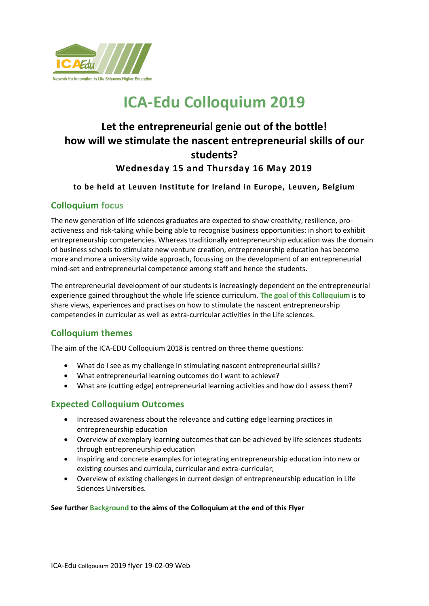

# **ICA-Edu Colloquium 2019**

# **Let the entrepreneurial genie out of the bottle! how will we stimulate the nascent entrepreneurial skills of our students? Wednesday 15 and Thursday 16 May 2019**

### **to be held at Leuven Institute for Ireland in Europe, Leuven, Belgium**

### **Colloquium focus**

The new generation of life sciences graduates are expected to show creativity, resilience, proactiveness and risk-taking while being able to recognise business opportunities: in short to exhibit entrepreneurship competencies. Whereas traditionally entrepreneurship education was the domain of business schools to stimulate new venture creation, entrepreneurship education has become more and more a university wide approach, focussing on the development of an entrepreneurial mind-set and entrepreneurial competence among staff and hence the students.

The entrepreneurial development of our students is increasingly dependent on the entrepreneurial experience gained throughout the whole life science curriculum. **The goal of this Colloquium** is to share views, experiences and practises on how to stimulate the nascent entrepreneurship competencies in curricular as well as extra-curricular activities in the Life sciences.

# **Colloquium themes**

The aim of the ICA-EDU Colloquium 2018 is centred on three theme questions:

- What do I see as my challenge in stimulating nascent entrepreneurial skills?
- What entrepreneurial learning outcomes do I want to achieve?
- What are (cutting edge) entrepreneurial learning activities and how do I assess them?

### **Expected Colloquium Outcomes**

- Increased awareness about the relevance and cutting edge learning practices in entrepreneurship education
- Overview of exemplary learning outcomes that can be achieved by life sciences students through entrepreneurship education
- Inspiring and concrete examples for integrating entrepreneurship education into new or existing courses and curricula, curricular and extra-curricular;
- Overview of existing challenges in current design of entrepreneurship education in Life Sciences Universities.

### **See further Background to the aims of the Colloquium at the end of this Flyer**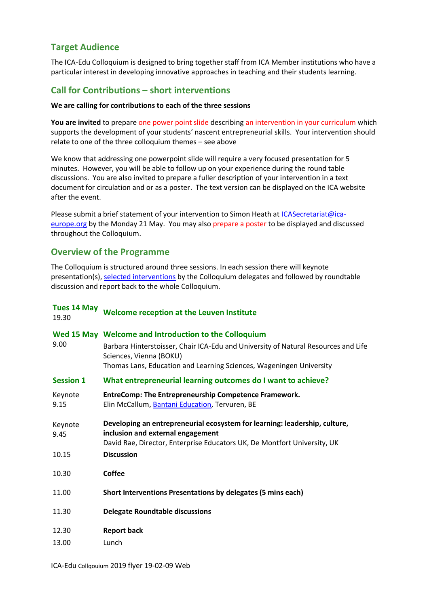# **Target Audience**

The ICA-Edu Colloquium is designed to bring together staff from ICA Member institutions who have a particular interest in developing innovative approaches in teaching and their students learning.

### **Call for Contributions – short interventions**

### **We are calling for contributions to each of the three sessions**

**You are invited** to prepare one power point slide describing an intervention in your curriculum which supports the development of your students' nascent entrepreneurial skills. Your intervention should relate to one of the three colloquium themes – see above

We know that addressing one powerpoint slide will require a very focused presentation for 5 minutes. However, you will be able to follow up on your experience during the round table discussions. You are also invited to prepare a fuller description of your intervention in a text document for circulation and or as a poster. The text version can be displayed on the ICA website after the event.

Please submit a brief statement of your intervention to Simon Heath at [ICASecretariat@ica](mailto:ICASecretariat@ica-europe.org)[europe.org](mailto:ICASecretariat@ica-europe.org) by the Monday 21 May. You may also prepare a poster to be displayed and discussed throughout the Colloquium.

### **Overview of the Programme**

The Colloquium is structured around three sessions. In each session there will keynote presentation(s), [selected interventions](http://www.ica-ls.com/index.php?option=com_content&view=article&id=202:ica-edu-colloquium-call-for-contributions&catid=33:upcoming-conference&Itemid=226) by the Colloquium delegates and followed by roundtable discussion and report back to the whole Colloquium.

| <b>Tues 14 May</b><br>19.30 | Welcome reception at the Leuven Institute                                                                                                                                                   |
|-----------------------------|---------------------------------------------------------------------------------------------------------------------------------------------------------------------------------------------|
| 9.00                        | Wed 15 May Welcome and Introduction to the Colloquium                                                                                                                                       |
|                             | Barbara Hinterstoisser, Chair ICA-Edu and University of Natural Resources and Life<br>Sciences, Vienna (BOKU)                                                                               |
|                             | Thomas Lans, Education and Learning Sciences, Wageningen University                                                                                                                         |
| <b>Session 1</b>            | What entrepreneurial learning outcomes do I want to achieve?                                                                                                                                |
| Keynote<br>9.15             | <b>EntreComp: The Entrepreneurship Competence Framework.</b><br>Elin McCallum, Bantani Education, Tervuren, BE                                                                              |
| Keynote<br>9.45             | Developing an entrepreneurial ecosystem for learning: leadership, culture,<br>inclusion and external engagement<br>David Rae, Director, Enterprise Educators UK, De Montfort University, UK |
| 10.15                       | <b>Discussion</b>                                                                                                                                                                           |
| 10.30                       | <b>Coffee</b>                                                                                                                                                                               |
| 11.00                       | Short Interventions Presentations by delegates (5 mins each)                                                                                                                                |
| 11.30                       | <b>Delegate Roundtable discussions</b>                                                                                                                                                      |
| 12.30                       | <b>Report back</b>                                                                                                                                                                          |
| 13.00                       | Lunch                                                                                                                                                                                       |
|                             |                                                                                                                                                                                             |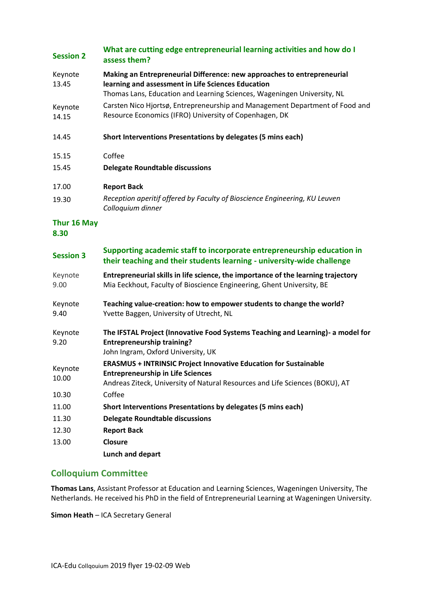#### **Session 2 What are cutting edge entrepreneurial learning activities and how do I assess them?**

| Keynote<br>13.45                                            | Making an Entrepreneurial Difference: new approaches to entrepreneurial<br>learning and assessment in Life Sciences Education<br>Thomas Lans, Education and Learning Sciences, Wageningen University, NL |
|-------------------------------------------------------------|----------------------------------------------------------------------------------------------------------------------------------------------------------------------------------------------------------|
| Keynote<br>14.15                                            | Carsten Nico Hjortsø, Entrepreneurship and Management Department of Food and<br>Resource Economics (IFRO) University of Copenhagen, DK                                                                   |
| $\overline{A}$ $\overline{A}$ $\overline{A}$ $\overline{C}$ | which is the second probability of the second contribution of $I$ and $I$ and $\Lambda$ . The second $\Lambda$                                                                                           |

14.45 **Short Interventions Presentations by delegates (5 mins each)**

### 15.15 Coffee

15.45 **Delegate Roundtable discussions**

### 17.00 **Report Back**

19.30 *Reception aperitif offered by Faculty of Bioscience Engineering, KU Leuven Colloquium dinner*

# **Thur 16 May**

**8.30**

| <b>Session 3</b> | Supporting academic staff to incorporate entrepreneurship education in                                                                                                                              |
|------------------|-----------------------------------------------------------------------------------------------------------------------------------------------------------------------------------------------------|
|                  | their teaching and their students learning - university-wide challenge                                                                                                                              |
| Keynote<br>9.00  | Entrepreneurial skills in life science, the importance of the learning trajectory<br>Mia Eeckhout, Faculty of Bioscience Engineering, Ghent University, BE                                          |
| Keynote<br>9.40  | Teaching value-creation: how to empower students to change the world?<br>Yvette Baggen, University of Utrecht, NL                                                                                   |
| Keynote<br>9.20  | The IFSTAL Project (Innovative Food Systems Teaching and Learning)- a model for<br><b>Entrepreneurship training?</b><br>John Ingram, Oxford University, UK                                          |
| Keynote<br>10.00 | <b>ERASMUS + INTRINSIC Project Innovative Education for Sustainable</b><br><b>Entrepreneurship in Life Sciences</b><br>Andreas Ziteck, University of Natural Resources and Life Sciences (BOKU), AT |
| 10.30            | Coffee                                                                                                                                                                                              |
| 11.00            | Short Interventions Presentations by delegates (5 mins each)                                                                                                                                        |
| 11.30            | <b>Delegate Roundtable discussions</b>                                                                                                                                                              |

12.30 **Report Back** 13.00 **Closure**

**Lunch and depart**

# **Colloquium Committee**

**Thomas Lans**, Assistant Professor at Education and Learning Sciences, Wageningen University, The Netherlands. He received his PhD in the field of Entrepreneurial Learning at Wageningen University.

**Simon Heath** – ICA Secretary General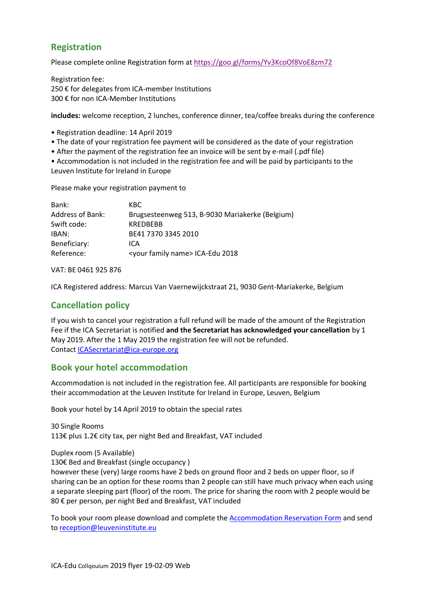## **Registration**

Please complete online [Registration form](https://goo.gl/forms/d4BjZlCbkPUQiOUY2) at <https://goo.gl/forms/Yv3KcoOf8VoE8zm72>

Registration fee: 250 € for delegates from ICA-member Institutions 300 € for non ICA-Member Institutions

**includes:** welcome reception, 2 lunches, conference dinner, tea/coffee breaks during the conference

- Registration deadline: 14 April 2019
- The date of your registration fee payment will be considered as the date of your registration
- After the payment of the registration fee an invoice will be sent by e-mail (.pdf file)

• Accommodation is not included in the registration fee and will be paid by participants to the Leuven Institute for Ireland in Europe

Please make your registration payment to

| KBC.                                            |
|-------------------------------------------------|
| Brugsesteenweg 513, B-9030 Mariakerke (Belgium) |
| <b>KRFDRFRR</b>                                 |
| BE41 7370 3345 2010                             |
| ICA                                             |
| <your family="" name=""> ICA-Edu 2018</your>    |
|                                                 |

VAT: BE 0461 925 876

ICA Registered address: Marcus Van Vaernewijckstraat 21, 9030 Gent-Mariakerke, Belgium

## **Cancellation policy**

If you wish to cancel your registration a full refund will be made of the amount of the Registration Fee if the ICA Secretariat is notified **and the Secretariat has acknowledged your cancellation** by 1 May 2019. After the 1 May 2019 the registration fee will not be refunded. Contact [ICASecretariat@ica-europe.org](mailto:ICASecretariat@ica-europe.org)

### **Book your hotel accommodation**

Accommodation is not included in the registration fee. All participants are responsible for booking their accommodation at the Leuven Institute for Ireland in Europe, Leuven, Belgium

[Book your hotel](http://www.ica-ls.com/images/stories/pdf/conferences/2018_ICA-Edu_Colloquium/Irish_Institute_Accommodation_Registration_Form_18-04-16.docx) by 14 April 2019 to obtain the special rates

30 Single Rooms 113€ plus 1.2€ city tax, per night Bed and Breakfast, VAT included

Duplex room (5 Available)

130€ Bed and Breakfast (single occupancy )

however these (very) large rooms have 2 beds on ground floor and 2 beds on upper floor, so if sharing can be an option for these rooms than 2 people can still have much privacy when each using a separate sleeping part (floor) of the room. The price for sharing the room with 2 people would be 80 € per person, per night Bed and Breakfast, VAT included

To book your room please download and complete the [Accommodation Reservation Form](http://www.ica-ls.com/images/stories/pdf/conferences/2018_ICA-Edu_Colloquium/Irish_Institute_Accommodation_Registration_Form_18-04-16.docx) and send to [reception@leuveninstitute.eu](mailto:reception@leuveninstitute.eu)